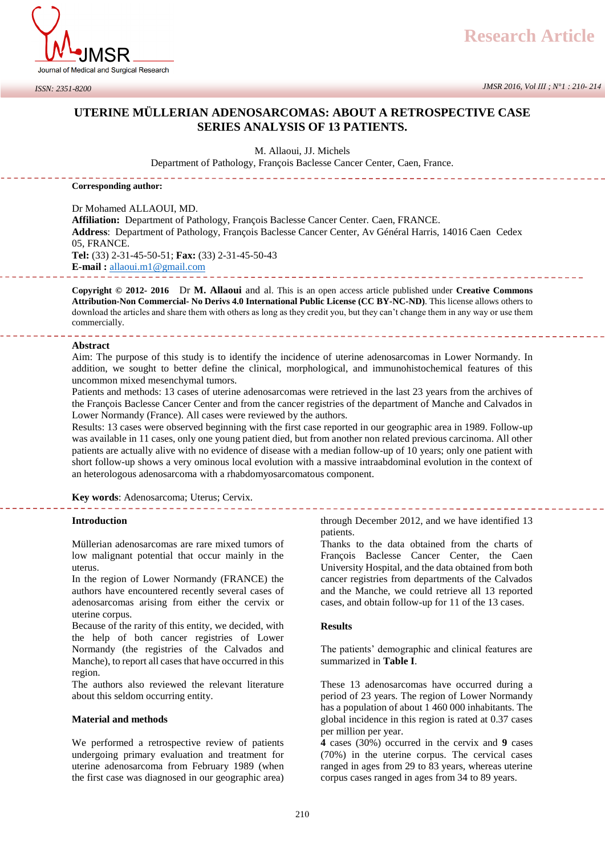

*JMSR 2016, Vol III ; N°1 : 210- 214*

## **UTERINE MÜLLERIAN ADENOSARCOMAS: ABOUT A RETROSPECTIVE CASE SERIES ANALYSIS OF 13 PATIENTS.**

M. Allaoui, JJ. Michels

Department of Pathology, François Baclesse Cancer Center, Caen, France.

**Corresponding author:** 

Dr Mohamed ALLAOUI, MD. **Affiliation:** Department of Pathology, François Baclesse Cancer Center. Caen, FRANCE. **Address**: Department of Pathology, François Baclesse Cancer Center, Av Général Harris, 14016 Caen Cedex 05, FRANCE. **Tel:** (33) 2-31-45-50-51; **Fax:** (33) 2-31-45-50-43 **E-mail :** [allaoui.m1@gmail.com](mailto:allaoui.m1@gmail.com)

**Copyright © 2012- 2016** Dr **M. Allaoui** and al. This is an open access article published under **Creative Commons Attribution-Non Commercial- No Derivs 4.0 International Public License (CC BY-NC-ND)**. This license allows others to download the articles and share them with others as long as they credit you, but they can't change them in any way or use them commercially.

### **Abstract**

Aim: The purpose of this study is to identify the incidence of uterine adenosarcomas in Lower Normandy. In addition, we sought to better define the clinical, morphological, and immunohistochemical features of this uncommon mixed mesenchymal tumors.

Patients and methods: 13 cases of uterine adenosarcomas were retrieved in the last 23 years from the archives of the François Baclesse Cancer Center and from the cancer registries of the department of Manche and Calvados in Lower Normandy (France). All cases were reviewed by the authors.

Results: 13 cases were observed beginning with the first case reported in our geographic area in 1989. Follow-up was available in 11 cases, only one young patient died, but from another non related previous carcinoma. All other patients are actually alive with no evidence of disease with a median follow-up of 10 years; only one patient with short follow-up shows a very ominous local evolution with a massive intraabdominal evolution in the context of an heterologous adenosarcoma with a rhabdomyosarcomatous component.

**Key words**: Adenosarcoma; Uterus; Cervix.

**Introduction** 

Müllerian adenosarcomas are rare mixed tumors of low malignant potential that occur mainly in the uterus.

In the region of Lower Normandy (FRANCE) the authors have encountered recently several cases of adenosarcomas arising from either the cervix or uterine corpus.

Because of the rarity of this entity, we decided, with the help of both cancer registries of Lower Normandy (the registries of the Calvados and Manche), to report all cases that have occurred in this region.

The authors also reviewed the relevant literature about this seldom occurring entity.

### **Material and methods**

We performed a retrospective review of patients undergoing primary evaluation and treatment for uterine adenosarcoma from February 1989 (when the first case was diagnosed in our geographic area) through December 2012, and we have identified 13 patients.

Thanks to the data obtained from the charts of François Baclesse Cancer Center, the Caen University Hospital, and the data obtained from both cancer registries from departments of the Calvados and the Manche, we could retrieve all 13 reported cases, and obtain follow-up for 11 of the 13 cases.

### **Results**

The patients' demographic and clinical features are summarized in **Table I**.

These 13 adenosarcomas have occurred during a period of 23 years. The region of Lower Normandy has a population of about 1 460 000 inhabitants. The global incidence in this region is rated at 0.37 cases per million per year.

**4** cases (30%) occurred in the cervix and **9** cases (70%) in the uterine corpus. The cervical cases ranged in ages from 29 to 83 years, whereas uterine corpus cases ranged in ages from 34 to 89 years.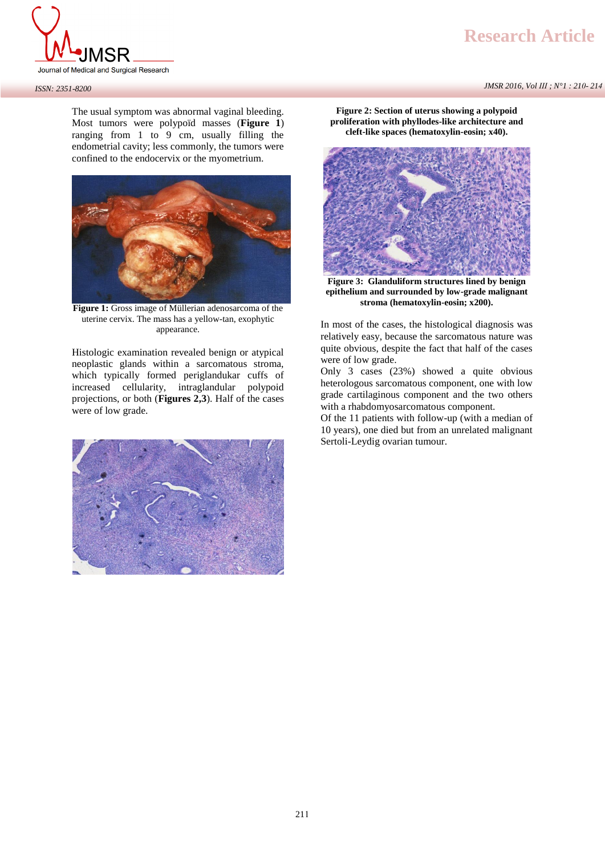

# **Research Article**

*JMSR 2016, Vol III ; N°1 : 210- 214*

*ISSN: 2351-8200*

The usual symptom was abnormal vaginal bleeding. Most tumors were polypoïd masses (**Figure 1**) ranging from 1 to 9 cm, usually filling the endometrial cavity; less commonly, the tumors were confined to the endocervix or the myometrium.



Figure 1: Gross image of Müllerian adenosarcoma of the uterine cervix. The mass has a yellow-tan, exophytic appearance.

Histologic examination revealed benign or atypical neoplastic glands within a sarcomatous stroma, which typically formed periglandukar cuffs of increased cellularity, intraglandular polypoid projections, or both (**Figures 2,3**). Half of the cases were of low grade.



**Figure 2: Section of uterus showing a polypoid proliferation with phyllodes-like architecture and cleft-like spaces (hematoxylin-eosin; x40).** 



**Figure 3: Glanduliform structures lined by benign epithelium and surrounded by low-grade malignant stroma (hematoxylin-eosin; x200).** 

In most of the cases, the histological diagnosis was relatively easy, because the sarcomatous nature was quite obvious, despite the fact that half of the cases were of low grade.

Only 3 cases (23%) showed a quite obvious heterologous sarcomatous component, one with low grade cartilaginous component and the two others with a rhabdomyosarcomatous component.

Of the 11 patients with follow-up (with a median of 10 years), one died but from an unrelated malignant Sertoli-Leydig ovarian tumour.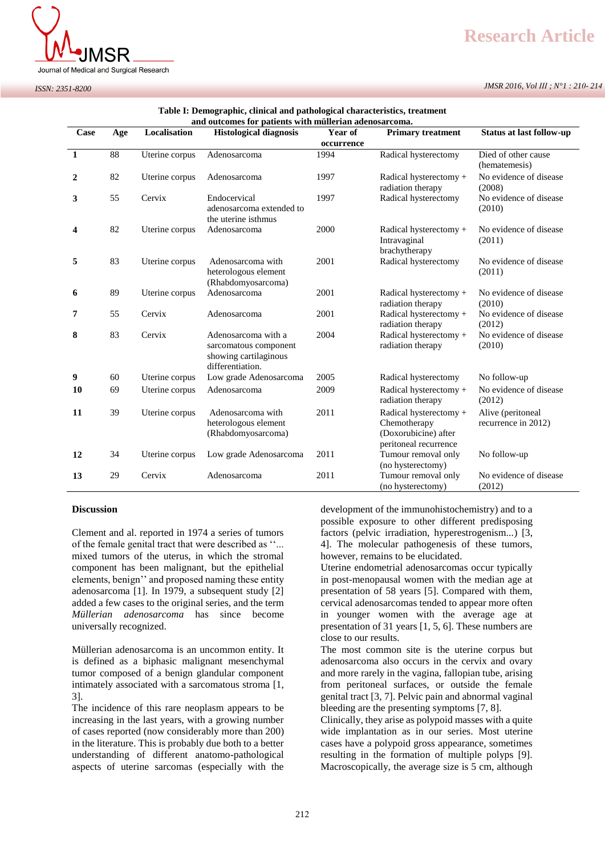

# **Research Article**

*JMSR 2016, Vol III ; N°1 : 210- 214*

| and outcomes for patients with müllerian adenosarcoma. |     |                |                                                                                           |                       |                                                                                         |                                          |
|--------------------------------------------------------|-----|----------------|-------------------------------------------------------------------------------------------|-----------------------|-----------------------------------------------------------------------------------------|------------------------------------------|
| Case                                                   | Age | Localisation   | <b>Histological diagnosis</b>                                                             | Year of<br>occurrence | <b>Primary treatment</b>                                                                | <b>Status at last follow-up</b>          |
| 1                                                      | 88  | Uterine corpus | Adenosarcoma                                                                              | 1994                  | Radical hysterectomy                                                                    | Died of other cause<br>(hematemesis)     |
| 2                                                      | 82  | Uterine corpus | Adenosarcoma                                                                              | 1997                  | Radical hysterectomy +<br>radiation therapy                                             | No evidence of disease<br>(2008)         |
| 3                                                      | 55  | Cervix         | Endocervical<br>adenosarcoma extended to<br>the uterine isthmus                           | 1997                  | Radical hysterectomy                                                                    | No evidence of disease<br>(2010)         |
| 4                                                      | 82  | Uterine corpus | Adenosarcoma                                                                              | 2000                  | Radical hysterectomy +<br>Intravaginal<br>brachytherapy                                 | No evidence of disease<br>(2011)         |
| 5                                                      | 83  | Uterine corpus | Adenosarcoma with<br>heterologous element<br>(Rhabdomyosarcoma)                           | 2001                  | Radical hysterectomy                                                                    | No evidence of disease<br>(2011)         |
| 6                                                      | 89  | Uterine corpus | Adenosarcoma                                                                              | 2001                  | Radical hysterectomy +<br>radiation therapy                                             | No evidence of disease<br>(2010)         |
| 7                                                      | 55  | Cervix         | Adenosarcoma                                                                              | 2001                  | Radical hysterectomy +<br>radiation therapy                                             | No evidence of disease<br>(2012)         |
| 8                                                      | 83  | Cervix         | Adenosarcoma with a<br>sarcomatous component<br>showing cartilaginous<br>differentiation. | 2004                  | Radical hysterectomy +<br>radiation therapy                                             | No evidence of disease<br>(2010)         |
| 9                                                      | 60  | Uterine corpus | Low grade Adenosarcoma                                                                    | 2005                  | Radical hysterectomy                                                                    | No follow-up                             |
| 10                                                     | 69  | Uterine corpus | Adenosarcoma                                                                              | 2009                  | Radical hysterectomy +<br>radiation therapy                                             | No evidence of disease<br>(2012)         |
| 11                                                     | 39  | Uterine corpus | Adenosarcoma with<br>heterologous element<br>(Rhabdomyosarcoma)                           | 2011                  | Radical hysterectomy +<br>Chemotherapy<br>(Doxorubicine) after<br>peritoneal recurrence | Alive (peritoneal<br>recurrence in 2012) |
| 12                                                     | 34  | Uterine corpus | Low grade Adenosarcoma                                                                    | 2011                  | Tumour removal only<br>(no hysterectomy)                                                | No follow-up                             |
| 13                                                     | 29  | Cervix         | Adenosarcoma                                                                              | 2011                  | Tumour removal only<br>(no hysterectomy)                                                | No evidence of disease<br>(2012)         |

## **Table I: Demographic, clinical and pathological characteristics, treatment**

### **Discussion**

Clement and al. reported in 1974 a series of tumors of the female genital tract that were described as ''... mixed tumors of the uterus, in which the stromal component has been malignant, but the epithelial elements, benign'' and proposed naming these entity adenosarcoma [1]. In 1979, a subsequent study [2] added a few cases to the original series, and the term *Müllerian adenosarcoma* has since become universally recognized.

Müllerian adenosarcoma is an uncommon entity. It is defined as a biphasic malignant mesenchymal tumor composed of a benign glandular component intimately associated with a sarcomatous stroma [1, 3].

The incidence of this rare neoplasm appears to be increasing in the last years, with a growing number of cases reported (now considerably more than 200) in the literature. This is probably due both to a better understanding of different anatomo-pathological aspects of uterine sarcomas (especially with the

development of the immunohistochemistry) and to a possible exposure to other different predisposing factors (pelvic irradiation, hyperestrogenism...) [3, 4]. The molecular pathogenesis of these tumors, however, remains to be elucidated.

Uterine endometrial adenosarcomas occur typically in post-menopausal women with the median age at presentation of 58 years [5]. Compared with them, cervical adenosarcomas tended to appear more often in younger women with the average age at presentation of 31 years [1, 5, 6]. These numbers are close to our results.

The most common site is the uterine corpus but adenosarcoma also occurs in the cervix and ovary and more rarely in the vagina, fallopian tube, arising from peritoneal surfaces, or outside the female genital tract [3, 7]. Pelvic pain and abnormal vaginal bleeding are the presenting symptoms [7, 8].

Clinically, they arise as polypoid masses with a quite wide implantation as in our series. Most uterine cases have a polypoid gross appearance, sometimes resulting in the formation of multiple polyps [9]. Macroscopically, the average size is 5 cm, although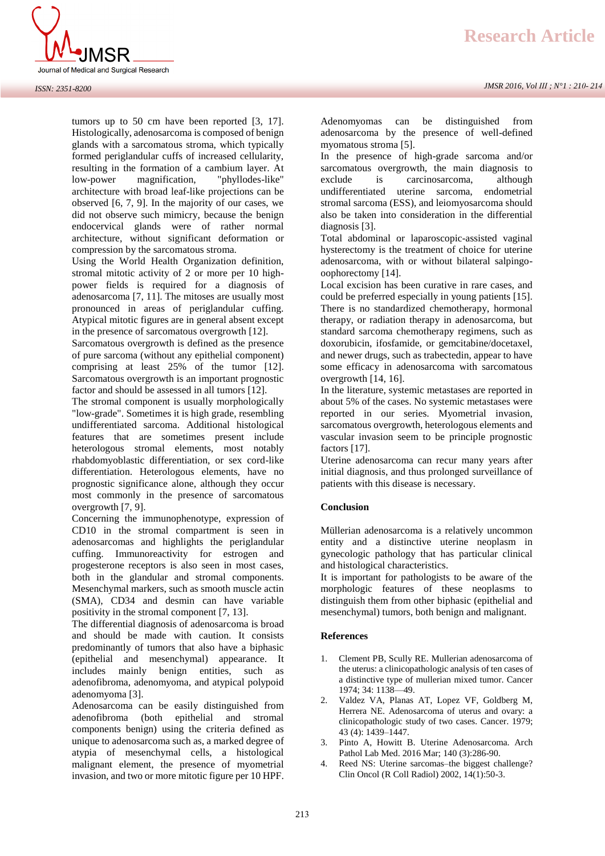

tumors up to 50 cm have been reported [3, 17]. Histologically, adenosarcoma is composed of benign glands with a sarcomatous stroma, which typically formed periglandular cuffs of increased cellularity, resulting in the formation of a cambium layer. At low-power magnification, "phyllodes-like" architecture with broad leaf-like projections can be observed [6, 7, 9]. In the majority of our cases, we did not observe such mimicry, because the benign endocervical glands were of rather normal architecture, without significant deformation or compression by the sarcomatous stroma.

Using the World Health Organization definition, stromal mitotic activity of 2 or more per 10 highpower fields is required for a diagnosis of adenosarcoma [7, 11]. The mitoses are usually most pronounced in areas of periglandular cuffing. Atypical mitotic figures are in general absent except in the presence of sarcomatous overgrowth [12].

Sarcomatous overgrowth is defined as the presence of pure sarcoma (without any epithelial component) comprising at least 25% of the tumor [12]. Sarcomatous overgrowth is an important prognostic factor and should be assessed in all tumors [12].

The stromal component is usually morphologically "low-grade". Sometimes it is high grade, resembling undifferentiated sarcoma. Additional histological features that are sometimes present include heterologous stromal elements, most notably rhabdomyoblastic differentiation, or sex cord-like differentiation. Heterologous elements, have no prognostic significance alone, although they occur most commonly in the presence of sarcomatous overgrowth [7, 9].

Concerning the immunophenotype, expression of CD10 in the stromal compartment is seen in adenosarcomas and highlights the periglandular cuffing. Immunoreactivity for estrogen and progesterone receptors is also seen in most cases, both in the glandular and stromal components. Mesenchymal markers, such as smooth muscle actin (SMA), CD34 and desmin can have variable positivity in the stromal component [7, 13].

The differential diagnosis of adenosarcoma is broad and should be made with caution. It consists predominantly of tumors that also have a biphasic (epithelial and mesenchymal) appearance. It includes mainly benign entities, such as adenofibroma, adenomyoma, and atypical polypoid adenomyoma [3].

Adenosarcoma can be easily distinguished from adenofibroma (both epithelial and stromal components benign) using the criteria defined as unique to adenosarcoma such as, a marked degree of atypia of mesenchymal cells, a histological malignant element, the presence of myometrial invasion, and two or more mitotic figure per 10 HPF.

*JMSR 2016, Vol III ; N°1 : 210- 214*

Adenomyomas can be distinguished from adenosarcoma by the presence of well-defined myomatous stroma [5].

In the presence of high-grade sarcoma and/or sarcomatous overgrowth, the main diagnosis to exclude is carcinosarcoma, although undifferentiated uterine sarcoma, endometrial stromal sarcoma (ESS), and leiomyosarcoma should also be taken into consideration in the differential diagnosis [3].

Total abdominal or laparoscopic-assisted vaginal hysterectomy is the treatment of choice for uterine adenosarcoma, with or without bilateral salpingooophorectomy [14].

Local excision has been curative in rare cases, and could be preferred especially in young patients [15]. There is no standardized chemotherapy, hormonal therapy, or radiation therapy in adenosarcoma, but standard sarcoma chemotherapy regimens, such as doxorubicin, ifosfamide, or gemcitabine/docetaxel, and newer drugs, such as trabectedin, appear to have some efficacy in adenosarcoma with sarcomatous overgrowth [14, 16].

In the literature, systemic metastases are reported in about 5% of the cases. No systemic metastases were reported in our series. Myometrial invasion, sarcomatous overgrowth, heterologous elements and vascular invasion seem to be principle prognostic factors [17].

Uterine adenosarcoma can recur many years after initial diagnosis, and thus prolonged surveillance of patients with this disease is necessary.

### **Conclusion**

Müllerian adenosarcoma is a relatively uncommon entity and a distinctive uterine neoplasm in gynecologic pathology that has particular clinical and histological characteristics.

It is important for pathologists to be aware of the morphologic features of these neoplasms to distinguish them from other biphasic (epithelial and mesenchymal) tumors, both benign and malignant.

### **References**

- 1. Clement PB, Scully RE. Mullerian adenosarcoma of the uterus: a clinicopathologic analysis of ten cases of a distinctive type of mullerian mixed tumor. Cancer 1974; 34: 1138—49.
- 2. Valdez VA, Planas AT, Lopez VF, Goldberg M, Herrera NE. Adenosarcoma of uterus and ovary: a clinicopathologic study of two cases. Cancer. 1979; 43 (4): 1439–1447.
- 3. [Pinto A,](http://www.ncbi.nlm.nih.gov/pubmed/?term=Pinto%20A%5BAuthor%5D&cauthor=true&cauthor_uid=26927725) [Howitt B.](http://www.ncbi.nlm.nih.gov/pubmed/?term=Howitt%20B%5BAuthor%5D&cauthor=true&cauthor_uid=26927725) Uterine Adenosarcoma. [Arch](http://medicine./) [Pathol Lab Med.](http://medicine./) 2016 Mar; 140 (3):286-90.
- 4. Reed NS: Uterine sarcomas–the biggest challenge? Clin Oncol (R Coll Radiol) 2002, 14(1):50-3.